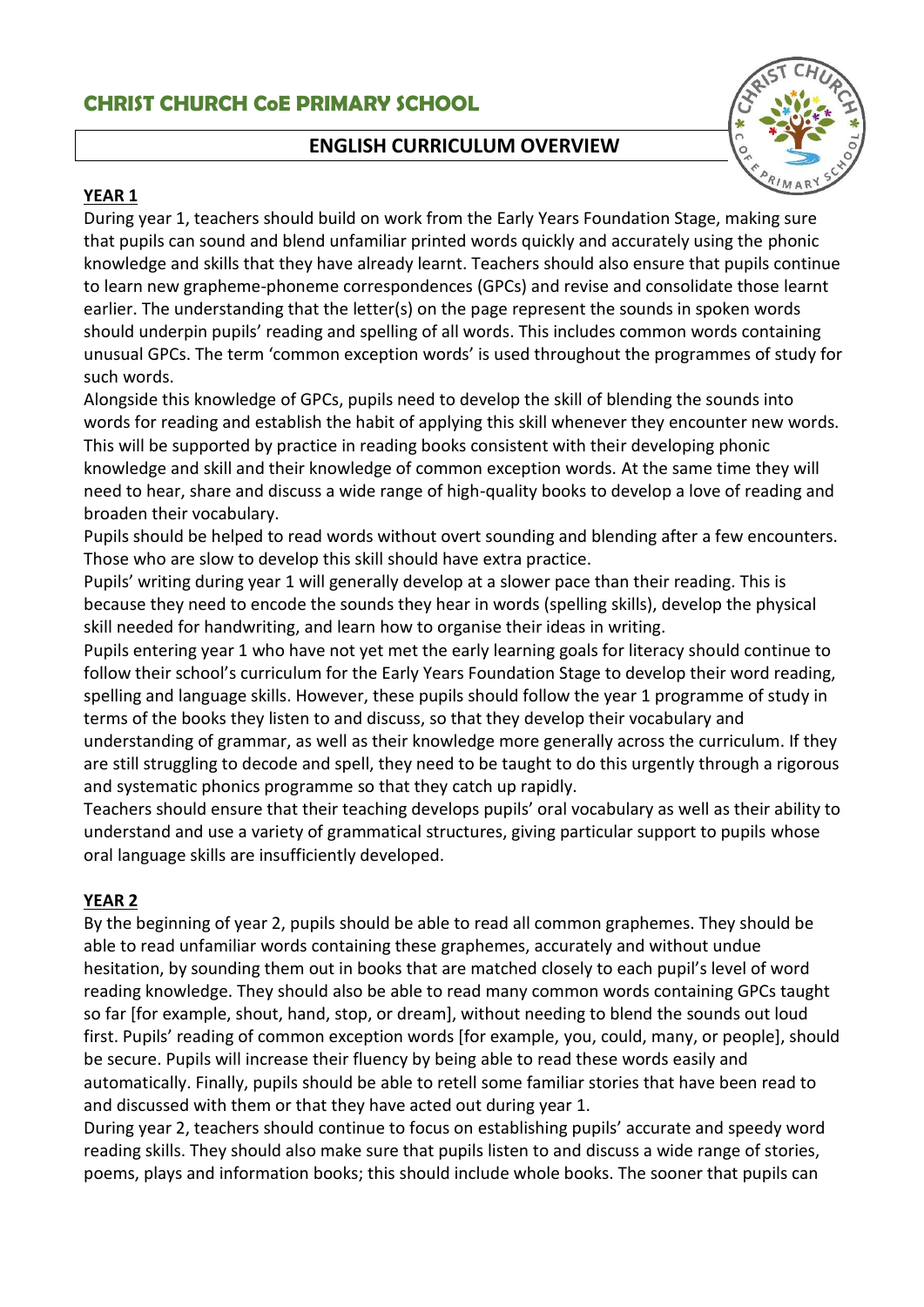# **CHRIST CHURCH CoE PRIMARY SCHOOL**

## **ENGLISH CURRICULUM OVERVIEW**



#### **YEAR 1**

During year 1, teachers should build on work from the Early Years Foundation Stage, making sure that pupils can sound and blend unfamiliar printed words quickly and accurately using the phonic knowledge and skills that they have already learnt. Teachers should also ensure that pupils continue to learn new grapheme-phoneme correspondences (GPCs) and revise and consolidate those learnt earlier. The understanding that the letter(s) on the page represent the sounds in spoken words should underpin pupils' reading and spelling of all words. This includes common words containing unusual GPCs. The term 'common exception words' is used throughout the programmes of study for such words.

Alongside this knowledge of GPCs, pupils need to develop the skill of blending the sounds into words for reading and establish the habit of applying this skill whenever they encounter new words. This will be supported by practice in reading books consistent with their developing phonic knowledge and skill and their knowledge of common exception words. At the same time they will need to hear, share and discuss a wide range of high-quality books to develop a love of reading and broaden their vocabulary.

Pupils should be helped to read words without overt sounding and blending after a few encounters. Those who are slow to develop this skill should have extra practice.

Pupils' writing during year 1 will generally develop at a slower pace than their reading. This is because they need to encode the sounds they hear in words (spelling skills), develop the physical skill needed for handwriting, and learn how to organise their ideas in writing.

Pupils entering year 1 who have not yet met the early learning goals for literacy should continue to follow their school's curriculum for the Early Years Foundation Stage to develop their word reading, spelling and language skills. However, these pupils should follow the year 1 programme of study in terms of the books they listen to and discuss, so that they develop their vocabulary and understanding of grammar, as well as their knowledge more generally across the curriculum. If they are still struggling to decode and spell, they need to be taught to do this urgently through a rigorous and systematic phonics programme so that they catch up rapidly.

Teachers should ensure that their teaching develops pupils' oral vocabulary as well as their ability to understand and use a variety of grammatical structures, giving particular support to pupils whose oral language skills are insufficiently developed.

#### **YEAR 2**

By the beginning of year 2, pupils should be able to read all common graphemes. They should be able to read unfamiliar words containing these graphemes, accurately and without undue hesitation, by sounding them out in books that are matched closely to each pupil's level of word reading knowledge. They should also be able to read many common words containing GPCs taught so far [for example, shout, hand, stop, or dream], without needing to blend the sounds out loud first. Pupils' reading of common exception words [for example, you, could, many, or people], should be secure. Pupils will increase their fluency by being able to read these words easily and automatically. Finally, pupils should be able to retell some familiar stories that have been read to and discussed with them or that they have acted out during year 1.

During year 2, teachers should continue to focus on establishing pupils' accurate and speedy word reading skills. They should also make sure that pupils listen to and discuss a wide range of stories, poems, plays and information books; this should include whole books. The sooner that pupils can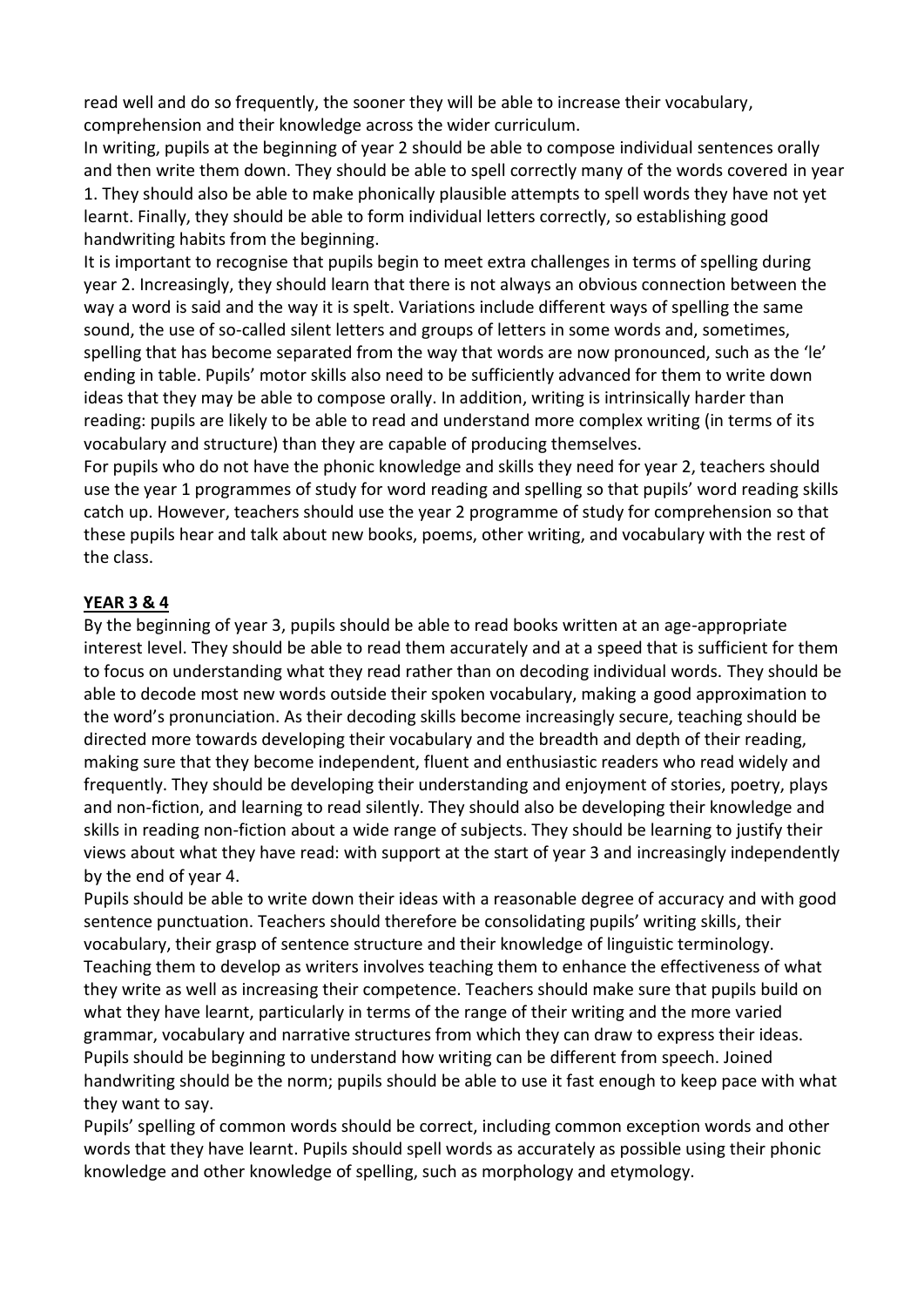read well and do so frequently, the sooner they will be able to increase their vocabulary, comprehension and their knowledge across the wider curriculum.

In writing, pupils at the beginning of year 2 should be able to compose individual sentences orally and then write them down. They should be able to spell correctly many of the words covered in year 1. They should also be able to make phonically plausible attempts to spell words they have not yet learnt. Finally, they should be able to form individual letters correctly, so establishing good handwriting habits from the beginning.

It is important to recognise that pupils begin to meet extra challenges in terms of spelling during year 2. Increasingly, they should learn that there is not always an obvious connection between the way a word is said and the way it is spelt. Variations include different ways of spelling the same sound, the use of so-called silent letters and groups of letters in some words and, sometimes, spelling that has become separated from the way that words are now pronounced, such as the 'le' ending in table. Pupils' motor skills also need to be sufficiently advanced for them to write down ideas that they may be able to compose orally. In addition, writing is intrinsically harder than reading: pupils are likely to be able to read and understand more complex writing (in terms of its vocabulary and structure) than they are capable of producing themselves.

For pupils who do not have the phonic knowledge and skills they need for year 2, teachers should use the year 1 programmes of study for word reading and spelling so that pupils' word reading skills catch up. However, teachers should use the year 2 programme of study for comprehension so that these pupils hear and talk about new books, poems, other writing, and vocabulary with the rest of the class.

## **YEAR 3 & 4**

By the beginning of year 3, pupils should be able to read books written at an age-appropriate interest level. They should be able to read them accurately and at a speed that is sufficient for them to focus on understanding what they read rather than on decoding individual words. They should be able to decode most new words outside their spoken vocabulary, making a good approximation to the word's pronunciation. As their decoding skills become increasingly secure, teaching should be directed more towards developing their vocabulary and the breadth and depth of their reading, making sure that they become independent, fluent and enthusiastic readers who read widely and frequently. They should be developing their understanding and enjoyment of stories, poetry, plays and non-fiction, and learning to read silently. They should also be developing their knowledge and skills in reading non-fiction about a wide range of subjects. They should be learning to justify their views about what they have read: with support at the start of year 3 and increasingly independently by the end of year 4.

Pupils should be able to write down their ideas with a reasonable degree of accuracy and with good sentence punctuation. Teachers should therefore be consolidating pupils' writing skills, their vocabulary, their grasp of sentence structure and their knowledge of linguistic terminology. Teaching them to develop as writers involves teaching them to enhance the effectiveness of what they write as well as increasing their competence. Teachers should make sure that pupils build on what they have learnt, particularly in terms of the range of their writing and the more varied grammar, vocabulary and narrative structures from which they can draw to express their ideas. Pupils should be beginning to understand how writing can be different from speech. Joined handwriting should be the norm; pupils should be able to use it fast enough to keep pace with what they want to say.

Pupils' spelling of common words should be correct, including common exception words and other words that they have learnt. Pupils should spell words as accurately as possible using their phonic knowledge and other knowledge of spelling, such as morphology and etymology.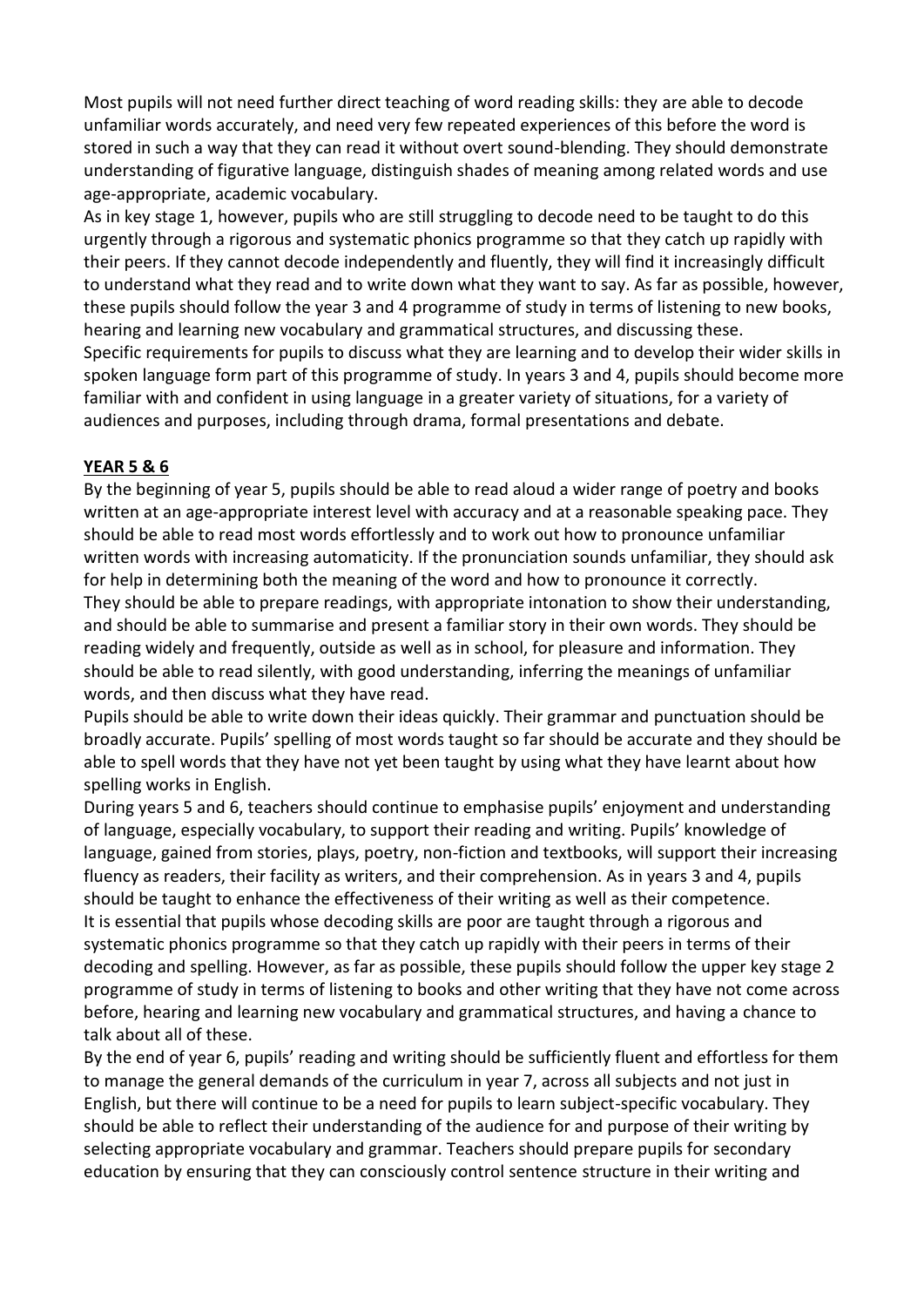Most pupils will not need further direct teaching of word reading skills: they are able to decode unfamiliar words accurately, and need very few repeated experiences of this before the word is stored in such a way that they can read it without overt sound-blending. They should demonstrate understanding of figurative language, distinguish shades of meaning among related words and use age-appropriate, academic vocabulary.

As in key stage 1, however, pupils who are still struggling to decode need to be taught to do this urgently through a rigorous and systematic phonics programme so that they catch up rapidly with their peers. If they cannot decode independently and fluently, they will find it increasingly difficult to understand what they read and to write down what they want to say. As far as possible, however, these pupils should follow the year 3 and 4 programme of study in terms of listening to new books, hearing and learning new vocabulary and grammatical structures, and discussing these. Specific requirements for pupils to discuss what they are learning and to develop their wider skills in spoken language form part of this programme of study. In years 3 and 4, pupils should become more familiar with and confident in using language in a greater variety of situations, for a variety of audiences and purposes, including through drama, formal presentations and debate.

### **YEAR 5 & 6**

By the beginning of year 5, pupils should be able to read aloud a wider range of poetry and books written at an age-appropriate interest level with accuracy and at a reasonable speaking pace. They should be able to read most words effortlessly and to work out how to pronounce unfamiliar written words with increasing automaticity. If the pronunciation sounds unfamiliar, they should ask for help in determining both the meaning of the word and how to pronounce it correctly. They should be able to prepare readings, with appropriate intonation to show their understanding, and should be able to summarise and present a familiar story in their own words. They should be reading widely and frequently, outside as well as in school, for pleasure and information. They should be able to read silently, with good understanding, inferring the meanings of unfamiliar words, and then discuss what they have read.

Pupils should be able to write down their ideas quickly. Their grammar and punctuation should be broadly accurate. Pupils' spelling of most words taught so far should be accurate and they should be able to spell words that they have not yet been taught by using what they have learnt about how spelling works in English.

During years 5 and 6, teachers should continue to emphasise pupils' enjoyment and understanding of language, especially vocabulary, to support their reading and writing. Pupils' knowledge of language, gained from stories, plays, poetry, non-fiction and textbooks, will support their increasing fluency as readers, their facility as writers, and their comprehension. As in years 3 and 4, pupils should be taught to enhance the effectiveness of their writing as well as their competence. It is essential that pupils whose decoding skills are poor are taught through a rigorous and systematic phonics programme so that they catch up rapidly with their peers in terms of their decoding and spelling. However, as far as possible, these pupils should follow the upper key stage 2 programme of study in terms of listening to books and other writing that they have not come across before, hearing and learning new vocabulary and grammatical structures, and having a chance to talk about all of these.

By the end of year 6, pupils' reading and writing should be sufficiently fluent and effortless for them to manage the general demands of the curriculum in year 7, across all subjects and not just in English, but there will continue to be a need for pupils to learn subject-specific vocabulary. They should be able to reflect their understanding of the audience for and purpose of their writing by selecting appropriate vocabulary and grammar. Teachers should prepare pupils for secondary education by ensuring that they can consciously control sentence structure in their writing and